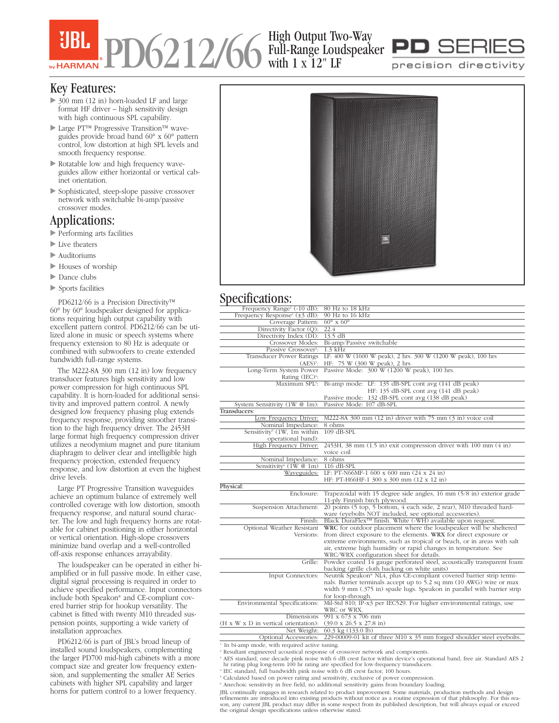# PD6212/66 High Output Two-Way Full-Range Loudspeaker with 1 x 12" LF



precision directivity

### Key Features:

- ▶ 300 mm (12 in) horn-loaded LF and large format HF driver – high sensitivity design with high continuous SPL capability.
- Large PT™ Progressive Transition™ waveguides provide broad band 60° x 60° pattern control, low distortion at high SPL levels and smooth frequency response.
- Rotatable low and high frequency waveguides allow either horizontal or vertical cabinet orientation.
- Sophisticated, steep-slope passive crossover network with switchable bi-amp/passive crossover modes.

## Applications:

- Performing arts facilities
- Live theaters
- $\blacktriangleright$  Auditoriums
- ▶ Houses of worship
- lance clubs
- Sports facilities

PD6212/66 is a Precision Directivity™ 60° by 60° loudspeaker designed for applications requiring high output capability with excellent pattern control. PD6212/66 can be utilized alone in music or speech systems where frequency extension to 80 Hz is adequate or combined with subwoofers to create extended bandwidth full-range systems.

The M222-8A 300 mm (12 in) low frequency transducer features high sensitivity and low power compression for high continuous SPL capability. It is horn-loaded for additional sensitivity and improved pattern control. A newly designed low frequency phasing plug extends frequency response, providing smoother transition to the high frequency driver. The 2453H large format high frequency compression driver utilizes a neodymium magnet and pure titanium diaphragm to deliver clear and intelligible high frequency projection, extended frequency response, and low distortion at even the highest drive levels.

Large PT Progressive Transition waveguides achieve an optimum balance of extremely well controlled coverage with low distortion, smooth frequency response, and natural sound character. The low and high frequency horns are rotatable for cabinet positioning in either horizontal or vertical orientation. High-slope crossovers minimize band overlap and a well-controlled off-axis response enhances arrayability.

The loudspeaker can be operated in either biamplified or in full passive mode. In either case, digital signal processing is required in order to achieve specified performance. Input connectors include both Speakon® and CE-compliant covered barrier strip for hookup versatility. The cabinet is fitted with twenty M10 threaded suspension points, supporting a wide variety of installation approaches.

PD6212/66 is part of JBL's broad lineup of installed sound loudspeakers, complementing the larger PD700 mid-high cabinets with a more compact size and greater low frequency extension, and supplementing the smaller AE Series cabinets with higher SPL capability and larger horns for pattern control to a lower frequency.



### Specifications:

| Frequency Range <sup>1</sup> (-10 dB): 80 Hz to 18 kHz                           |                                                                                              |
|----------------------------------------------------------------------------------|----------------------------------------------------------------------------------------------|
| Frequency Response <sup>1</sup> ( $\pm$ 3 dB):                                   | 90 Hz to 16 kHz                                                                              |
| Coverage Pattern:                                                                | $60^\circ$ x $60^\circ$                                                                      |
| Directivity Factor $\overline{(Q)}$ :                                            | 22.4                                                                                         |
| Directivity Index (DI): 13.5 dB                                                  |                                                                                              |
|                                                                                  | Crossover Modes: Bi-amp/Passive switchable                                                   |
| Passive Crossover <sup>2</sup> :                                                 | $1.3$ kHz                                                                                    |
| Transducer Power Ratings                                                         | LF: 400 W (1600 W peak), 2 hrs. 300 W (1200 W peak), 100 hrs                                 |
|                                                                                  | (AES) <sup>3</sup> : HF: 75 W (300 W peak), 2 hrs                                            |
|                                                                                  | Long-Term System Power Passive Mode: 300 W (1200 W peak), 100 hrs.                           |
| Rating $(IEC)^4$ :                                                               |                                                                                              |
|                                                                                  | Maximum SPL <sup>5</sup> : Bi-amp mode: LF: 135 dB-SPL cont avg (141 dB peak)                |
|                                                                                  | HF: 135 dB-SPL cont avg (141 dB peak)                                                        |
|                                                                                  | Passive mode: 132 dB-SPL cont avg (138 dB peak)                                              |
| System Sensitivity (1W @ 1m):                                                    | Passive Mode: 107 dB-SPL                                                                     |
| Transducers:                                                                     |                                                                                              |
| Low Frequency Driver:                                                            | M222-8A 300 mm (12 in) driver with 75 mm (3 in) voice coil                                   |
| Nominal Impedance:                                                               | 8 ohms                                                                                       |
| Sensitivity <sup>6</sup> (1W, 1m within                                          | $109$ dB-SPL                                                                                 |
| operational band):                                                               |                                                                                              |
| High Frequency Driver:                                                           | 2453H, 38 mm (1.5 in) exit compression driver with 100 mm (4 in)                             |
|                                                                                  | voice coil                                                                                   |
| Nominal Impedance:                                                               | 8 ohms                                                                                       |
| Sensitivity <sup>6</sup> (1W @ 1m)                                               | 116 dB-SPL                                                                                   |
| Waveguides:                                                                      | LF: PT-N66MF-1 600 x 600 mm $(24 \times 24 \text{ in})$                                      |
|                                                                                  | HF: PT-H66HF-1 300 x 300 mm (12 x 12 in)                                                     |
| Physical:                                                                        |                                                                                              |
| Enclosure:                                                                       | Trapezoidal with 15 degree side angles, $16 \text{ mm}$ ( $5/8 \text{ in}$ ) exterior grade  |
|                                                                                  | 11-ply Finnish birch plywood.                                                                |
| Suspension Attachment:                                                           | 20 points (5 top, 5 bottom, 4 each side, 2 rear), M10 threaded hard-                         |
|                                                                                  | ware (eyebolts NOT included, see optional accessories).                                      |
| Finish:                                                                          | Black DuraFlex <sup>™</sup> finish. White (-WH) available upon request.                      |
|                                                                                  | Optional Weather Resistant WRC for outdoor placement where the loudspeaker will be sheltered |
| Versions:                                                                        | from direct exposure to the elements. WRX for direct exposure or                             |
|                                                                                  | extreme environments, such as tropical or beach, or in areas with salt                       |
|                                                                                  | air, extreme high humidity or rapid changes in temperature. See                              |
|                                                                                  | WRC/WRX configuration sheet for details.                                                     |
|                                                                                  | Grille: Powder coated 14 gauge perforated steel, acoustically transparent foam               |
|                                                                                  | backing (grille cloth backing on white units)                                                |
| Input Connectors:                                                                | Neutrik Speakon® NL4, plus CE-compliant covered barrier strip termi-                         |
|                                                                                  | nals. Barrier terminals accept up to 5.2 sq mm (10 AWG) wire or max                          |
|                                                                                  | width 9 mm (.375 in) spade lugs. Speakon in parallel with barrier strip                      |
|                                                                                  | for loop-through.                                                                            |
| Environmental Specifications:                                                    | Mil-Std 810; IP-x3 per IEC529. For higher environmental ratings, use                         |
|                                                                                  | WRC or WRX.                                                                                  |
| Dimensions                                                                       | $991 \times 673 \times 706$ mm                                                               |
| (H x W x D in vertical orientation): $(39.0 \times 26.5 \times 27.8 \text{ in})$ |                                                                                              |
| Net Weight:                                                                      | 60.3 kg (133.0 lb)                                                                           |
|                                                                                  |                                                                                              |

Optional Accessories: 229-00009-01 kit of three M10 x 35 mm forged shoulder steel eyebolts. <sup>1</sup>. In bi-amp mode, with required active tuning.

<sup>2</sup> Resultant engineered acoustical response of crossover network and components.

<sup>3</sup> AES standard, one decade pink noise with 6 dB crest factor within device's operational band, free air. Standard AES 2 hr rating plug long-term 100 hr rating are specified for low-frequency transducers.

<sup>4</sup> IEC standard, full bandwidth pink noise with 6 dB crest factor, 100 hours.

<sup>5</sup> Calculated based on power rating and sensitivity, exclusive of power compression. <sup>6</sup> Anechoic sensitivity in free field, no additional sensitivity gains from boundary loading.

JBL continually engages in research related to product improvement. Some materials, production methods and design refinements are introduced into existing products without notice as a routine expression of that philosophy. For this rea-<br>son, any current JBL product may differ in some respect from its published description, but will al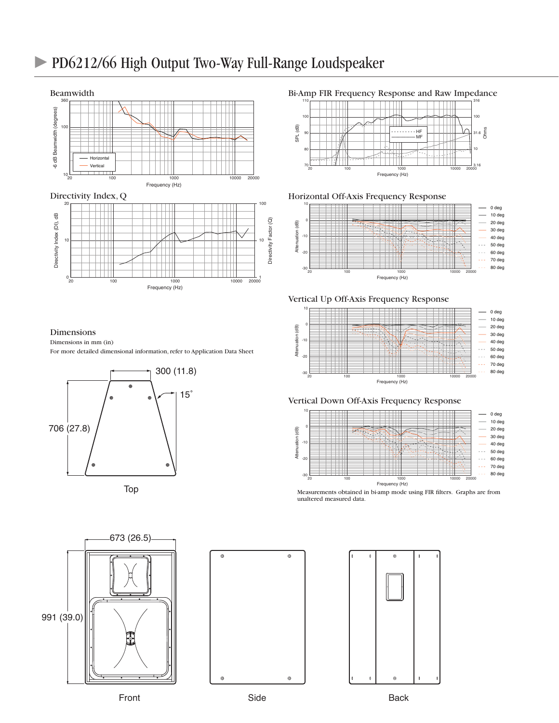## PD6212/66 High Output Two-Way Full-Range Loudspeaker



#### Dimensions

Dimensions in mm (in)

For more detailed dimensional information, refer to Application Data Sheet









Bi-Amp FIR Frequency Response and Raw Impedance



Horizontal Off-Axis Frequency Response



Vertical Up Off-Axis Frequency Response







Measurements obtained in bi-amp mode using FIR filters. Graphs are from unaltered measured data.



Front **Side** Side Back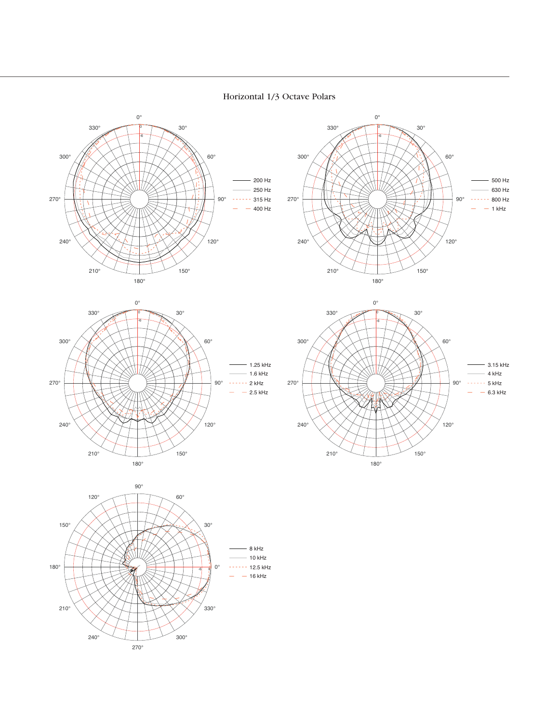

#### Horizontal 1/3 Octave Polars